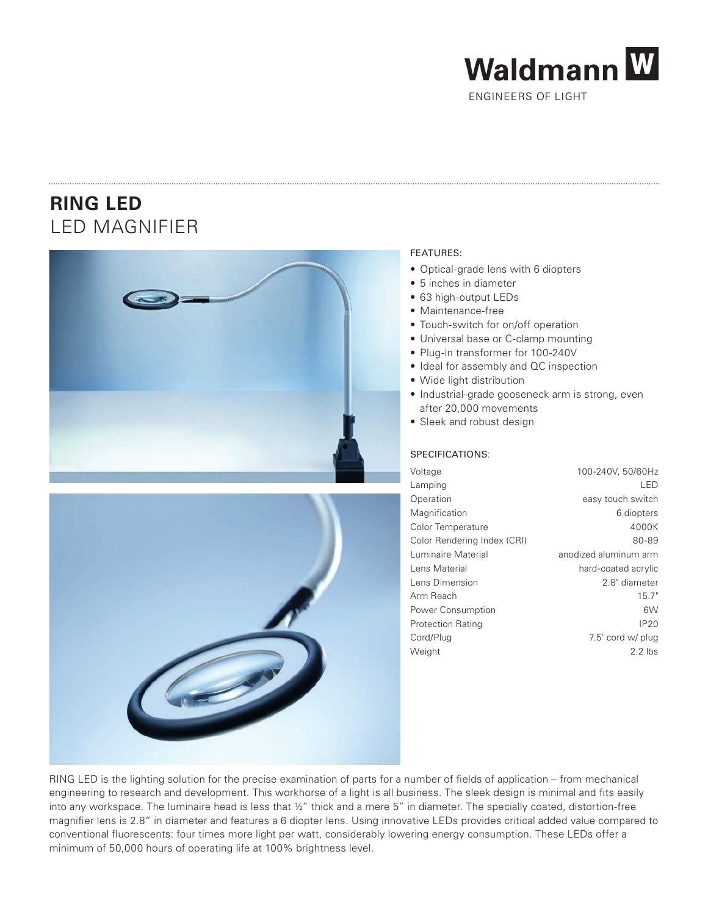

ENGINEERS OF LIGHT

## **RING LED** LED MAGNIFIER





## FEATURES:

- Optical-grade lens with 6 diopters
- 5 inches in diameter
- 63 high-output LEDs
- Maintenance-free
- Touch-switch for on/off operation
- Universal base or C-clamp mounting
- Plug-in transformer for 100-240V
- Ideal for assembly and QC inspection
- Wide light distribution
- Industrial-grade gooseneck arm is strong, even after 20,000 movements
- Sleek and robust design

## SPECIFICATIONS:

| Voltage                     | 100-240V, 50/60Hz     |
|-----------------------------|-----------------------|
| Lamping                     | LED                   |
| Operation                   | easy touch switch     |
| Magnification               | 6 diopters            |
| Color Temperature           | 4000K                 |
| Color Rendering Index (CRI) | 80-89                 |
| Luminaire Material          | anodized aluminum arm |
| Lens Material               | hard-coated acrylic   |
| Lens Dimension              | 2.8" diameter         |
| Arm Reach                   | 15.7"                 |
| Power Consumption           | 6W                    |
| <b>Protection Rating</b>    | IP20                  |
| Cord/Plug                   | 7.5' cord w/ plug     |
| Weight                      | $2.2$ lbs             |
|                             |                       |

RING LED is the lighting solution for the precise examination of parts for a number of fields of application – from mechanical engineering to research and development. This workhorse of a light is all business. The sleek design is minimal and fits easily into any workspace. The luminaire head is less that ½" thick and a mere 5" in diameter. The specially coated, distortion-free magnifier lens is 2.8" in diameter and features a 6 diopter lens. Using innovative LEDs provides critical added value compared to conventional fluorescents: four times more light per watt, considerably lowering energy consumption. These LEDs offer a minimum of 50,000 hours of operating life at 100% brightness level.